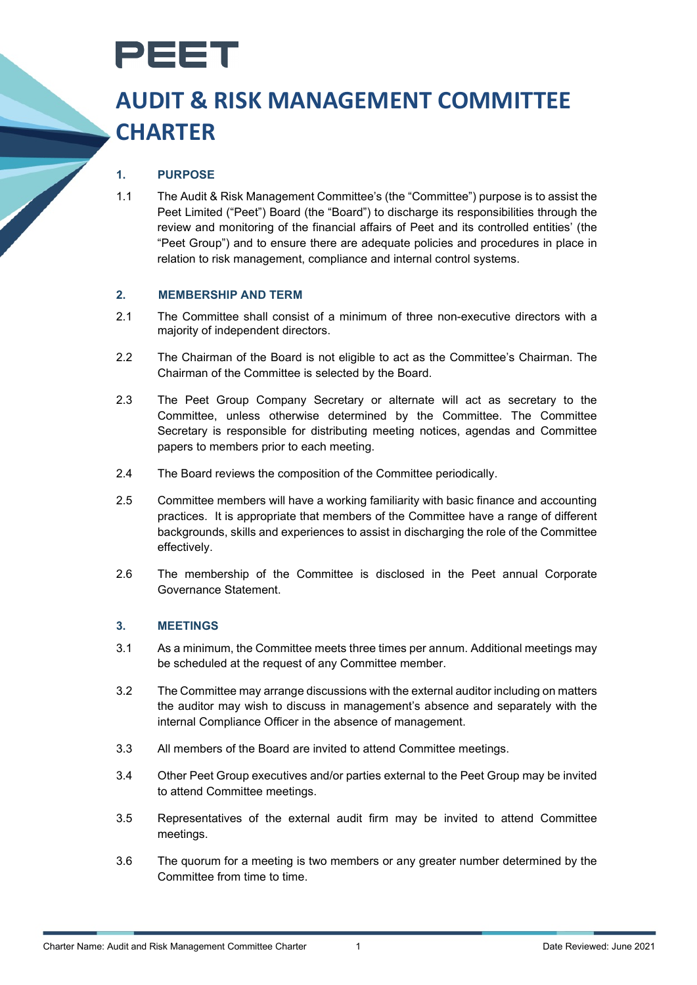

# **AUDIT & RISK MANAGEMENT COMMITTEE CHARTER**

# **1. PURPOSE**

1.1 The Audit & Risk Management Committee's (the "Committee") purpose is to assist the Peet Limited ("Peet") Board (the "Board") to discharge its responsibilities through the review and monitoring of the financial affairs of Peet and its controlled entities' (the "Peet Group") and to ensure there are adequate policies and procedures in place in relation to risk management, compliance and internal control systems.

# **2. MEMBERSHIP AND TERM**

- 2.1 The Committee shall consist of a minimum of three non-executive directors with a majority of independent directors.
- 2.2 The Chairman of the Board is not eligible to act as the Committee's Chairman. The Chairman of the Committee is selected by the Board.
- 2.3 The Peet Group Company Secretary or alternate will act as secretary to the Committee, unless otherwise determined by the Committee. The Committee Secretary is responsible for distributing meeting notices, agendas and Committee papers to members prior to each meeting.
- 2.4 The Board reviews the composition of the Committee periodically.
- 2.5 Committee members will have a working familiarity with basic finance and accounting practices. It is appropriate that members of the Committee have a range of different backgrounds, skills and experiences to assist in discharging the role of the Committee effectively.
- 2.6 The membership of the Committee is disclosed in the Peet annual Corporate Governance Statement.

#### **3. MEETINGS**

- 3.1 As a minimum, the Committee meets three times per annum. Additional meetings may be scheduled at the request of any Committee member.
- 3.2 The Committee may arrange discussions with the external auditor including on matters the auditor may wish to discuss in management's absence and separately with the internal Compliance Officer in the absence of management.
- 3.3 All members of the Board are invited to attend Committee meetings.
- 3.4 Other Peet Group executives and/or parties external to the Peet Group may be invited to attend Committee meetings.
- 3.5 Representatives of the external audit firm may be invited to attend Committee meetings.
- 3.6 The quorum for a meeting is two members or any greater number determined by the Committee from time to time.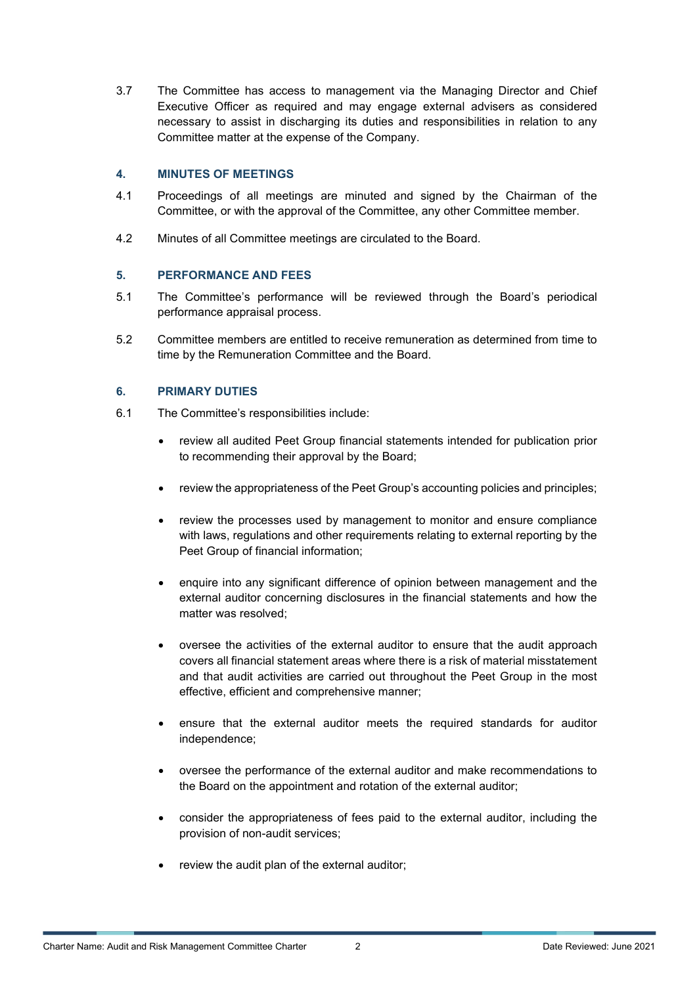3.7 The Committee has access to management via the Managing Director and Chief Executive Officer as required and may engage external advisers as considered necessary to assist in discharging its duties and responsibilities in relation to any Committee matter at the expense of the Company.

#### **4. MINUTES OF MEETINGS**

- 4.1 Proceedings of all meetings are minuted and signed by the Chairman of the Committee, or with the approval of the Committee, any other Committee member.
- 4.2 Minutes of all Committee meetings are circulated to the Board.

# **5. PERFORMANCE AND FEES**

- 5.1 The Committee's performance will be reviewed through the Board's periodical performance appraisal process.
- 5.2 Committee members are entitled to receive remuneration as determined from time to time by the Remuneration Committee and the Board.

# **6. PRIMARY DUTIES**

- 6.1 The Committee's responsibilities include:
	- review all audited Peet Group financial statements intended for publication prior to recommending their approval by the Board;
	- review the appropriateness of the Peet Group's accounting policies and principles;
	- review the processes used by management to monitor and ensure compliance with laws, regulations and other requirements relating to external reporting by the Peet Group of financial information;
	- enquire into any significant difference of opinion between management and the external auditor concerning disclosures in the financial statements and how the matter was resolved;
	- oversee the activities of the external auditor to ensure that the audit approach covers all financial statement areas where there is a risk of material misstatement and that audit activities are carried out throughout the Peet Group in the most effective, efficient and comprehensive manner;
	- ensure that the external auditor meets the required standards for auditor independence;
	- oversee the performance of the external auditor and make recommendations to the Board on the appointment and rotation of the external auditor;
	- consider the appropriateness of fees paid to the external auditor, including the provision of non-audit services;
	- review the audit plan of the external auditor;